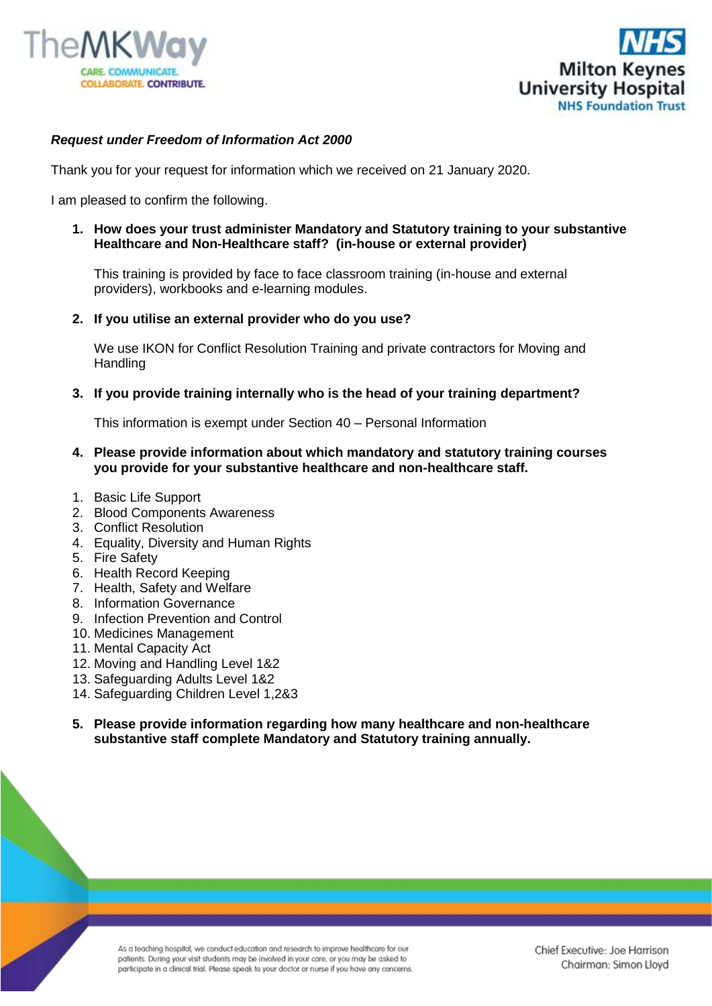



## *Request under Freedom of Information Act 2000*

Thank you for your request for information which we received on 21 January 2020.

I am pleased to confirm the following.

**1. How does your trust administer Mandatory and Statutory training to your substantive Healthcare and Non-Healthcare staff? (in-house or external provider)**

This training is provided by face to face classroom training (in-house and external providers), workbooks and e-learning modules.

**2. If you utilise an external provider who do you use?**

We use IKON for Conflict Resolution Training and private contractors for Moving and **Handling** 

## **3. If you provide training internally who is the head of your training department?**

This information is exempt under Section 40 – Personal Information

- **4. Please provide information about which mandatory and statutory training courses you provide for your substantive healthcare and non-healthcare staff.**
- 1. Basic Life Support
- 2. Blood Components Awareness
- 3. Conflict Resolution
- 4. Equality, Diversity and Human Rights
- 5. Fire Safety
- 6. Health Record Keeping
- 7. Health, Safety and Welfare
- 8. Information Governance
- 9. Infection Prevention and Control
- 10. Medicines Management
- 11. Mental Capacity Act
- 12. Moving and Handling Level 1&2
- 13. Safeguarding Adults Level 1&2
- 14. Safeguarding Children Level 1,2&3
- **5. Please provide information regarding how many healthcare and non-healthcare substantive staff complete Mandatory and Statutory training annually.**

As a teaching hospital, we conduct education and research to improve healthcare for our patients. During your visit students may be involved in your care, or you may be asked to participate in a clinical trial. Please speak to your doctor or nurse if you have any concerns.